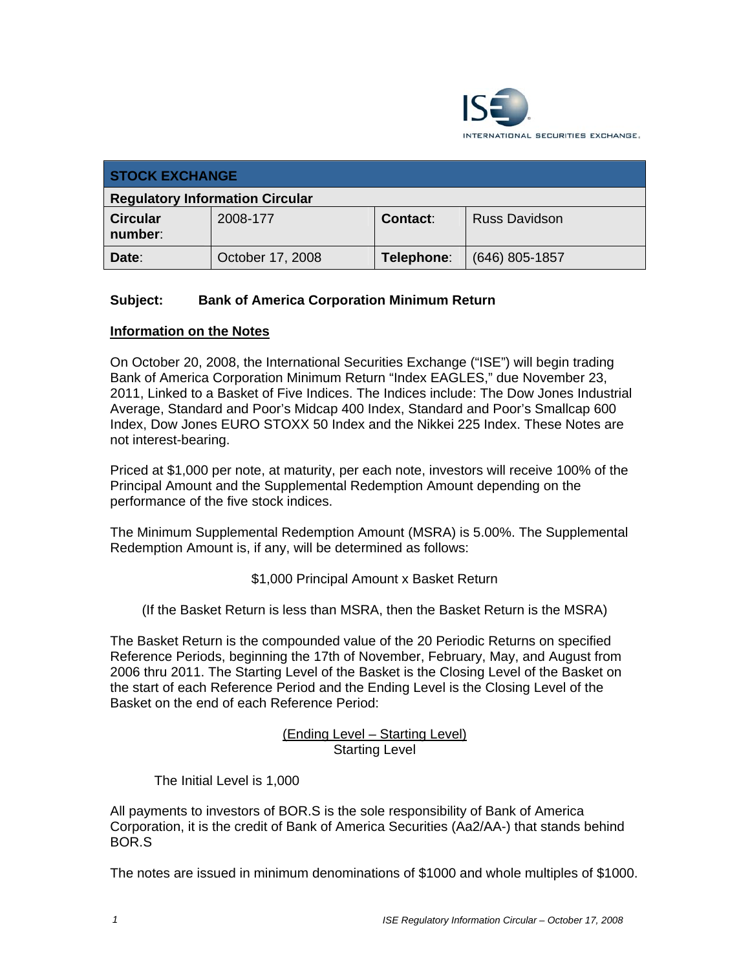

| <b>STOCK EXCHANGE</b>                  |                  |            |                      |
|----------------------------------------|------------------|------------|----------------------|
| <b>Regulatory Information Circular</b> |                  |            |                      |
| <b>Circular</b><br>number:             | 2008-177         | Contact:   | <b>Russ Davidson</b> |
| Date:                                  | October 17, 2008 | Telephone: | $(646)$ 805-1857     |

# **Subject: Bank of America Corporation Minimum Return**

### **Information on the Notes**

On October 20, 2008, the International Securities Exchange ("ISE") will begin trading Bank of America Corporation Minimum Return "Index EAGLES," due November 23, 2011, Linked to a Basket of Five Indices. The Indices include: The Dow Jones Industrial Average, Standard and Poor's Midcap 400 Index, Standard and Poor's Smallcap 600 Index, Dow Jones EURO STOXX 50 Index and the Nikkei 225 Index. These Notes are not interest-bearing.

Priced at \$1,000 per note, at maturity, per each note, investors will receive 100% of the Principal Amount and the Supplemental Redemption Amount depending on the performance of the five stock indices.

The Minimum Supplemental Redemption Amount (MSRA) is 5.00%. The Supplemental Redemption Amount is, if any, will be determined as follows:

\$1,000 Principal Amount x Basket Return

(If the Basket Return is less than MSRA, then the Basket Return is the MSRA)

The Basket Return is the compounded value of the 20 Periodic Returns on specified Reference Periods, beginning the 17th of November, February, May, and August from 2006 thru 2011. The Starting Level of the Basket is the Closing Level of the Basket on the start of each Reference Period and the Ending Level is the Closing Level of the Basket on the end of each Reference Period:

> (Ending Level – Starting Level) Starting Level

The Initial Level is 1,000

All payments to investors of BOR.S is the sole responsibility of Bank of America Corporation, it is the credit of Bank of America Securities (Aa2/AA-) that stands behind BOR.S

The notes are issued in minimum denominations of \$1000 and whole multiples of \$1000.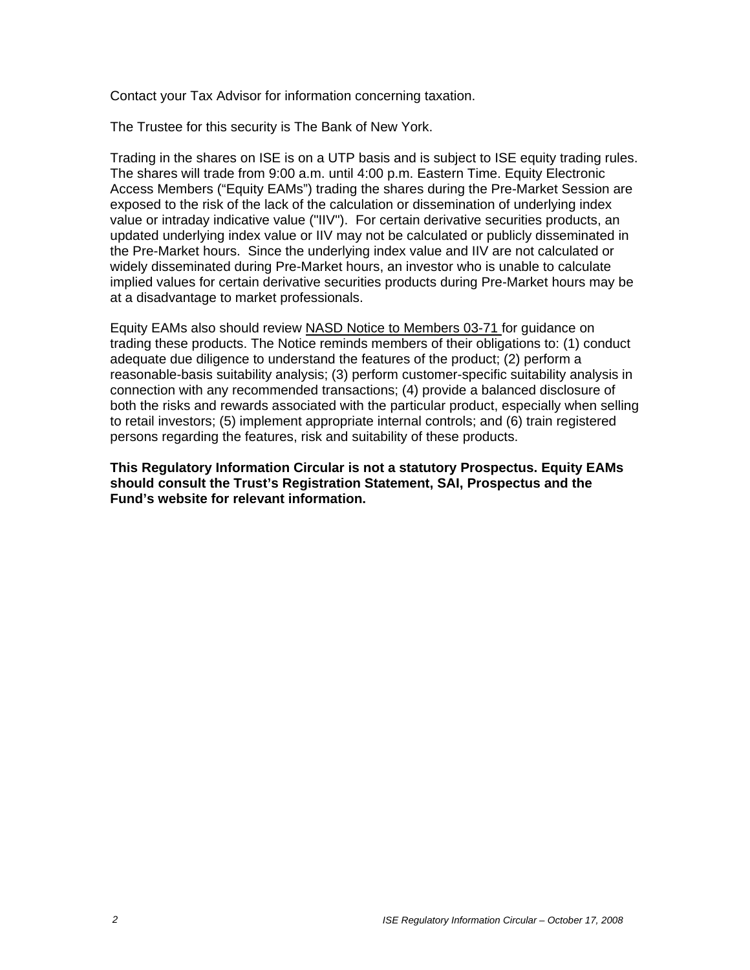Contact your Tax Advisor for information concerning taxation.

The Trustee for this security is The Bank of New York.

Trading in the shares on ISE is on a UTP basis and is subject to ISE equity trading rules. The shares will trade from 9:00 a.m. until 4:00 p.m. Eastern Time. Equity Electronic Access Members ("Equity EAMs") trading the shares during the Pre-Market Session are exposed to the risk of the lack of the calculation or dissemination of underlying index value or intraday indicative value ("IIV"). For certain derivative securities products, an updated underlying index value or IIV may not be calculated or publicly disseminated in the Pre-Market hours. Since the underlying index value and IIV are not calculated or widely disseminated during Pre-Market hours, an investor who is unable to calculate implied values for certain derivative securities products during Pre-Market hours may be at a disadvantage to market professionals.

Equity EAMs also should review NASD Notice to Members 03-71 for guidance on trading these products. The Notice reminds members of their obligations to: (1) conduct adequate due diligence to understand the features of the product; (2) perform a reasonable-basis suitability analysis; (3) perform customer-specific suitability analysis in connection with any recommended transactions; (4) provide a balanced disclosure of both the risks and rewards associated with the particular product, especially when selling to retail investors; (5) implement appropriate internal controls; and (6) train registered persons regarding the features, risk and suitability of these products.

**This Regulatory Information Circular is not a statutory Prospectus. Equity EAMs should consult the Trust's Registration Statement, SAI, Prospectus and the Fund's website for relevant information.**